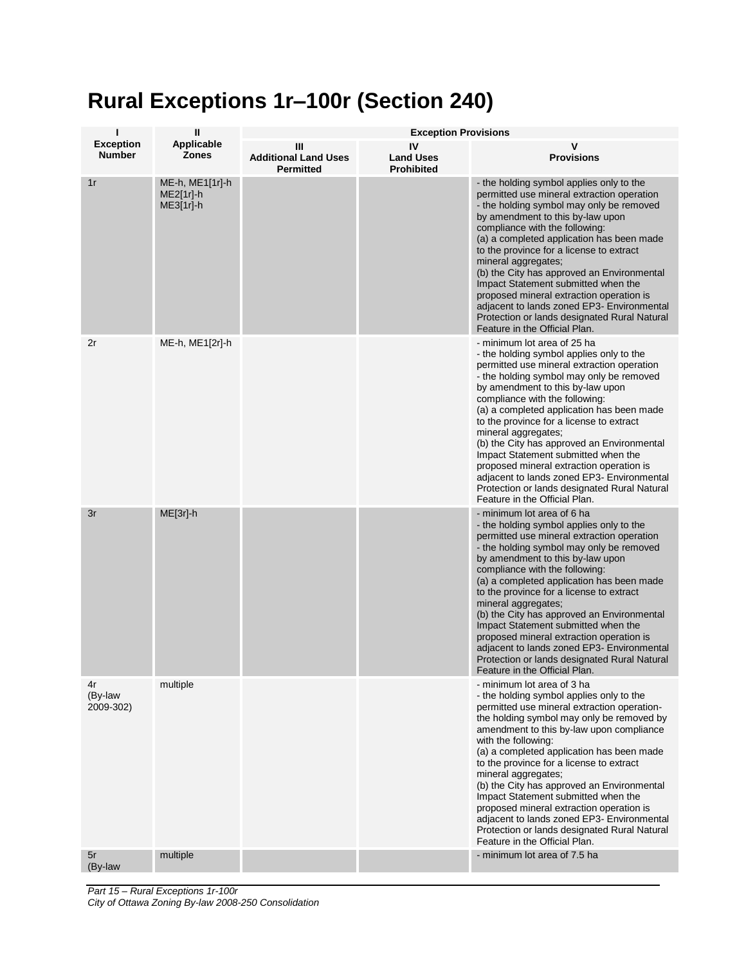## **Rural Exceptions 1r–100r (Section 240)**

| ı                                 | $\mathbf{I}$                              | <b>Exception Provisions</b>                          |                                             |                                                                                                                                                                                                                                                                                                                                                                                                                                                                                                                                                                                                                         |  |
|-----------------------------------|-------------------------------------------|------------------------------------------------------|---------------------------------------------|-------------------------------------------------------------------------------------------------------------------------------------------------------------------------------------------------------------------------------------------------------------------------------------------------------------------------------------------------------------------------------------------------------------------------------------------------------------------------------------------------------------------------------------------------------------------------------------------------------------------------|--|
| <b>Exception</b><br><b>Number</b> | Applicable<br><b>Zones</b>                | Ш<br><b>Additional Land Uses</b><br><b>Permitted</b> | IV<br><b>Land Uses</b><br><b>Prohibited</b> | <b>Provisions</b>                                                                                                                                                                                                                                                                                                                                                                                                                                                                                                                                                                                                       |  |
| 1r                                | ME-h, ME1[1r]-h<br>ME2[1r]-h<br>ME3[1r]-h |                                                      |                                             | - the holding symbol applies only to the<br>permitted use mineral extraction operation<br>- the holding symbol may only be removed<br>by amendment to this by-law upon<br>compliance with the following:<br>(a) a completed application has been made<br>to the province for a license to extract<br>mineral aggregates;<br>(b) the City has approved an Environmental<br>Impact Statement submitted when the<br>proposed mineral extraction operation is<br>adjacent to lands zoned EP3- Environmental<br>Protection or lands designated Rural Natural<br>Feature in the Official Plan.                                |  |
| 2r                                | ME-h, ME1[2r]-h                           |                                                      |                                             | - minimum lot area of 25 ha<br>- the holding symbol applies only to the<br>permitted use mineral extraction operation<br>- the holding symbol may only be removed<br>by amendment to this by-law upon<br>compliance with the following:<br>(a) a completed application has been made<br>to the province for a license to extract<br>mineral aggregates;<br>(b) the City has approved an Environmental<br>Impact Statement submitted when the<br>proposed mineral extraction operation is<br>adjacent to lands zoned EP3- Environmental<br>Protection or lands designated Rural Natural<br>Feature in the Official Plan. |  |
| 3r                                | $ME[3r]$ -h                               |                                                      |                                             | - minimum lot area of 6 ha<br>- the holding symbol applies only to the<br>permitted use mineral extraction operation<br>- the holding symbol may only be removed<br>by amendment to this by-law upon<br>compliance with the following:<br>(a) a completed application has been made<br>to the province for a license to extract<br>mineral aggregates;<br>(b) the City has approved an Environmental<br>Impact Statement submitted when the<br>proposed mineral extraction operation is<br>adjacent to lands zoned EP3- Environmental<br>Protection or lands designated Rural Natural<br>Feature in the Official Plan.  |  |
| 4r<br>(By-law<br>2009-302)        | multiple                                  |                                                      |                                             | - minimum lot area of 3 ha<br>- the holding symbol applies only to the<br>permitted use mineral extraction operation-<br>the holding symbol may only be removed by<br>amendment to this by-law upon compliance<br>with the following:<br>(a) a completed application has been made<br>to the province for a license to extract<br>mineral aggregates;<br>(b) the City has approved an Environmental<br>Impact Statement submitted when the<br>proposed mineral extraction operation is<br>adjacent to lands zoned EP3- Environmental<br>Protection or lands designated Rural Natural<br>Feature in the Official Plan.   |  |
| 5r<br>(By-law                     | multiple                                  |                                                      |                                             | - minimum lot area of 7.5 ha                                                                                                                                                                                                                                                                                                                                                                                                                                                                                                                                                                                            |  |

*Part 15 – Rural Exceptions 1r-100r City of Ottawa Zoning By-law 2008-250 Consolidation*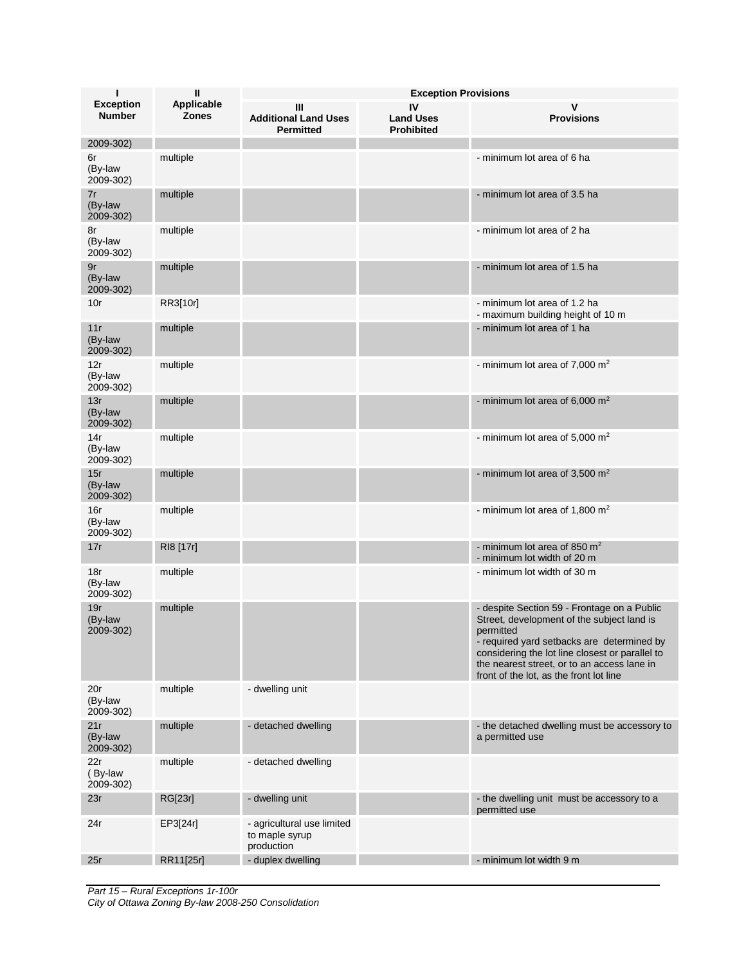| $\mathbf{I}$                      | Ш                          | <b>Exception Provisions</b>                                |                                             |                                                                                                                                                                                                                                                                                                   |  |
|-----------------------------------|----------------------------|------------------------------------------------------------|---------------------------------------------|---------------------------------------------------------------------------------------------------------------------------------------------------------------------------------------------------------------------------------------------------------------------------------------------------|--|
| <b>Exception</b><br><b>Number</b> | Applicable<br><b>Zones</b> | Ш<br><b>Additional Land Uses</b><br><b>Permitted</b>       | IV<br><b>Land Uses</b><br><b>Prohibited</b> | <b>Provisions</b>                                                                                                                                                                                                                                                                                 |  |
| 2009-302)                         |                            |                                                            |                                             |                                                                                                                                                                                                                                                                                                   |  |
| 6r<br>(By-law<br>2009-302)        | multiple                   |                                                            |                                             | - minimum lot area of 6 ha                                                                                                                                                                                                                                                                        |  |
| 7r<br>(By-law<br>2009-302)        | multiple                   |                                                            |                                             | - minimum lot area of 3.5 ha                                                                                                                                                                                                                                                                      |  |
| 8r<br>(By-law<br>2009-302)        | multiple                   |                                                            |                                             | - minimum lot area of 2 ha                                                                                                                                                                                                                                                                        |  |
| 9r<br>(By-law<br>2009-302)        | multiple                   |                                                            |                                             | - minimum lot area of 1.5 ha                                                                                                                                                                                                                                                                      |  |
| 10r                               | RR3[10r]                   |                                                            |                                             | - minimum lot area of 1.2 ha<br>- maximum building height of 10 m                                                                                                                                                                                                                                 |  |
| 11r<br>(By-law<br>2009-302)       | multiple                   |                                                            |                                             | - minimum lot area of 1 ha                                                                                                                                                                                                                                                                        |  |
| 12r<br>(By-law<br>2009-302)       | multiple                   |                                                            |                                             | - minimum lot area of 7,000 $m2$                                                                                                                                                                                                                                                                  |  |
| 13r<br>(By-law<br>2009-302)       | multiple                   |                                                            |                                             | - minimum lot area of 6,000 $m2$                                                                                                                                                                                                                                                                  |  |
| 14r<br>(By-law<br>2009-302)       | multiple                   |                                                            |                                             | - minimum lot area of 5,000 $m2$                                                                                                                                                                                                                                                                  |  |
| 15r<br>(By-law<br>2009-302)       | multiple                   |                                                            |                                             | - minimum lot area of 3,500 $m2$                                                                                                                                                                                                                                                                  |  |
| 16r<br>(By-law<br>2009-302)       | multiple                   |                                                            |                                             | - minimum lot area of 1,800 $m2$                                                                                                                                                                                                                                                                  |  |
| 17r                               | RI8 [17r]                  |                                                            |                                             | - minimum lot area of 850 $m2$<br>- minimum lot width of 20 m                                                                                                                                                                                                                                     |  |
| 18r<br>(By-law<br>2009-302)       | multiple                   |                                                            |                                             | - minimum lot width of 30 m                                                                                                                                                                                                                                                                       |  |
| 19r<br>(By-law<br>2009-302)       | multiple                   |                                                            |                                             | - despite Section 59 - Frontage on a Public<br>Street, development of the subject land is<br>permitted<br>- required yard setbacks are determined by<br>considering the lot line closest or parallel to<br>the nearest street, or to an access lane in<br>front of the lot, as the front lot line |  |
| 20r<br>(By-law<br>2009-302)       | multiple                   | - dwelling unit                                            |                                             |                                                                                                                                                                                                                                                                                                   |  |
| 21r<br>(By-law<br>2009-302)       | multiple                   | - detached dwelling                                        |                                             | - the detached dwelling must be accessory to<br>a permitted use                                                                                                                                                                                                                                   |  |
| 22r<br>(By-law<br>2009-302)       | multiple                   | - detached dwelling                                        |                                             |                                                                                                                                                                                                                                                                                                   |  |
| 23r                               | RG[23r]                    | - dwelling unit                                            |                                             | - the dwelling unit must be accessory to a<br>permitted use                                                                                                                                                                                                                                       |  |
| 24r                               | EP3[24r]                   | - agricultural use limited<br>to maple syrup<br>production |                                             |                                                                                                                                                                                                                                                                                                   |  |
| 25r                               | RR11[25r]                  | - duplex dwelling                                          |                                             | - minimum lot width 9 m                                                                                                                                                                                                                                                                           |  |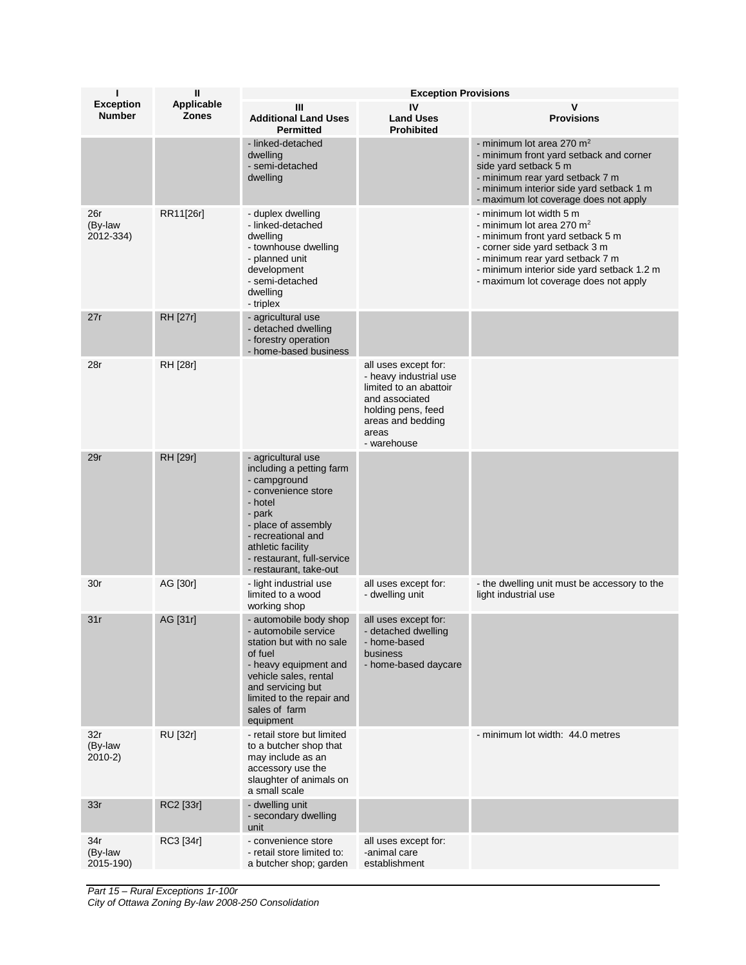| ı                                 | $\mathbf{I}$               | <b>Exception Provisions</b>                                                                                                                                                                                                          |                                                                                                                                                               |                                                                                                                                                                                                                                                                  |  |
|-----------------------------------|----------------------------|--------------------------------------------------------------------------------------------------------------------------------------------------------------------------------------------------------------------------------------|---------------------------------------------------------------------------------------------------------------------------------------------------------------|------------------------------------------------------------------------------------------------------------------------------------------------------------------------------------------------------------------------------------------------------------------|--|
| <b>Exception</b><br><b>Number</b> | Applicable<br><b>Zones</b> | Ш<br><b>Additional Land Uses</b><br><b>Permitted</b>                                                                                                                                                                                 | IV<br><b>Land Uses</b><br><b>Prohibited</b>                                                                                                                   | <b>Provisions</b>                                                                                                                                                                                                                                                |  |
|                                   |                            | - linked-detached<br>dwelling<br>- semi-detached<br>dwelling                                                                                                                                                                         |                                                                                                                                                               | - minimum lot area 270 $m2$<br>- minimum front yard setback and corner<br>side yard setback 5 m<br>- minimum rear yard setback 7 m<br>- minimum interior side yard setback 1 m<br>- maximum lot coverage does not apply                                          |  |
| 26r<br>(By-law<br>2012-334)       | RR11[26r]                  | - duplex dwelling<br>- linked-detached<br>dwelling<br>- townhouse dwelling<br>- planned unit<br>development<br>- semi-detached<br>dwelling<br>- triplex                                                                              |                                                                                                                                                               | - minimum lot width 5 m<br>- minimum lot area 270 m <sup>2</sup><br>- minimum front yard setback 5 m<br>- corner side yard setback 3 m<br>- minimum rear yard setback 7 m<br>- minimum interior side yard setback 1.2 m<br>- maximum lot coverage does not apply |  |
| 27r                               | <b>RH</b> [27r]            | - agricultural use<br>- detached dwelling<br>- forestry operation<br>- home-based business                                                                                                                                           |                                                                                                                                                               |                                                                                                                                                                                                                                                                  |  |
| 28r                               | RH [28r]                   |                                                                                                                                                                                                                                      | all uses except for:<br>- heavy industrial use<br>limited to an abattoir<br>and associated<br>holding pens, feed<br>areas and bedding<br>areas<br>- warehouse |                                                                                                                                                                                                                                                                  |  |
| 29r                               | RH [29r]                   | - agricultural use<br>including a petting farm<br>- campground<br>- convenience store<br>- hotel<br>- park<br>- place of assembly<br>- recreational and<br>athletic facility<br>- restaurant, full-service<br>- restaurant, take-out |                                                                                                                                                               |                                                                                                                                                                                                                                                                  |  |
| 30r                               | AG [30r]                   | - light industrial use<br>limited to a wood<br>working shop                                                                                                                                                                          | all uses except for:<br>- dwelling unit                                                                                                                       | - the dwelling unit must be accessory to the<br>light industrial use                                                                                                                                                                                             |  |
| 31r                               | AG [31r]                   | - automobile body shop<br>- automobile service<br>station but with no sale<br>of fuel<br>- heavy equipment and<br>vehicle sales, rental<br>and servicing but<br>limited to the repair and<br>sales of farm<br>equipment              | all uses except for:<br>- detached dwelling<br>- home-based<br>business<br>- home-based daycare                                                               |                                                                                                                                                                                                                                                                  |  |
| 32r<br>(By-law<br>$2010-2)$       | <b>RU</b> [32r]            | - retail store but limited<br>to a butcher shop that<br>may include as an<br>accessory use the<br>slaughter of animals on<br>a small scale                                                                                           |                                                                                                                                                               | - minimum lot width: 44.0 metres                                                                                                                                                                                                                                 |  |
| 33r                               | RC2 [33r]                  | - dwelling unit<br>- secondary dwelling<br>unit                                                                                                                                                                                      |                                                                                                                                                               |                                                                                                                                                                                                                                                                  |  |
| 34r<br>(By-law<br>2015-190)       | RC3 [34r]                  | - convenience store<br>- retail store limited to:<br>a butcher shop; garden                                                                                                                                                          | all uses except for:<br>-animal care<br>establishment                                                                                                         |                                                                                                                                                                                                                                                                  |  |

*Part 15 – Rural Exceptions 1r-100r City of Ottawa Zoning By-law 2008-250 Consolidation*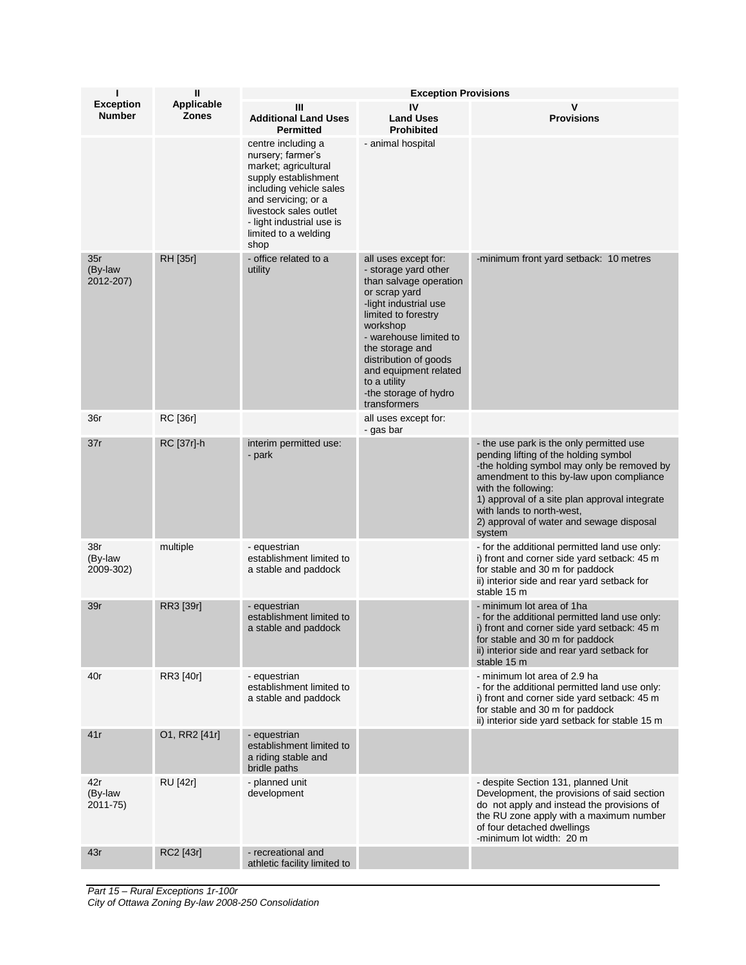| ı                                 | $\mathbf{H}$               | <b>Exception Provisions</b>                                                                                                                                                                                                      |                                                                                                                                                                                                                                                                                                             |                                                                                                                                                                                                                                                                                                                                        |  |
|-----------------------------------|----------------------------|----------------------------------------------------------------------------------------------------------------------------------------------------------------------------------------------------------------------------------|-------------------------------------------------------------------------------------------------------------------------------------------------------------------------------------------------------------------------------------------------------------------------------------------------------------|----------------------------------------------------------------------------------------------------------------------------------------------------------------------------------------------------------------------------------------------------------------------------------------------------------------------------------------|--|
| <b>Exception</b><br><b>Number</b> | Applicable<br><b>Zones</b> | Ш<br><b>Additional Land Uses</b><br><b>Permitted</b>                                                                                                                                                                             | IV<br><b>Land Uses</b><br><b>Prohibited</b>                                                                                                                                                                                                                                                                 | <b>Provisions</b>                                                                                                                                                                                                                                                                                                                      |  |
|                                   |                            | centre including a<br>nursery; farmer's<br>market; agricultural<br>supply establishment<br>including vehicle sales<br>and servicing; or a<br>livestock sales outlet<br>- light industrial use is<br>limited to a welding<br>shop | - animal hospital                                                                                                                                                                                                                                                                                           |                                                                                                                                                                                                                                                                                                                                        |  |
| 35r<br>(By-law<br>2012-207)       | RH [35r]                   | - office related to a<br>utility                                                                                                                                                                                                 | all uses except for:<br>- storage yard other<br>than salvage operation<br>or scrap yard<br>-light industrial use<br>limited to forestry<br>workshop<br>- warehouse limited to<br>the storage and<br>distribution of goods<br>and equipment related<br>to a utility<br>-the storage of hydro<br>transformers | -minimum front yard setback: 10 metres                                                                                                                                                                                                                                                                                                 |  |
| 36r                               | <b>RC</b> [36r]            |                                                                                                                                                                                                                                  | all uses except for:<br>- gas bar                                                                                                                                                                                                                                                                           |                                                                                                                                                                                                                                                                                                                                        |  |
| 37r                               | RC [37r]-h                 | interim permitted use:<br>- park                                                                                                                                                                                                 |                                                                                                                                                                                                                                                                                                             | - the use park is the only permitted use<br>pending lifting of the holding symbol<br>-the holding symbol may only be removed by<br>amendment to this by-law upon compliance<br>with the following:<br>1) approval of a site plan approval integrate<br>with lands to north-west,<br>2) approval of water and sewage disposal<br>system |  |
| 38r<br>(By-law<br>2009-302)       | multiple                   | - equestrian<br>establishment limited to<br>a stable and paddock                                                                                                                                                                 |                                                                                                                                                                                                                                                                                                             | - for the additional permitted land use only:<br>i) front and corner side yard setback: 45 m<br>for stable and 30 m for paddock<br>ii) interior side and rear yard setback for<br>stable 15 m                                                                                                                                          |  |
| 39r                               | RR3 [39r]                  | - equestrian<br>establishment limited to<br>a stable and paddock                                                                                                                                                                 |                                                                                                                                                                                                                                                                                                             | - minimum lot area of 1ha<br>- for the additional permitted land use only:<br>i) front and corner side yard setback: 45 m<br>for stable and 30 m for paddock<br>ii) interior side and rear yard setback for<br>stable 15 m                                                                                                             |  |
| 40r                               | RR3 [40r]                  | - equestrian<br>establishment limited to<br>a stable and paddock                                                                                                                                                                 |                                                                                                                                                                                                                                                                                                             | - minimum lot area of 2.9 ha<br>- for the additional permitted land use only:<br>i) front and corner side yard setback: 45 m<br>for stable and 30 m for paddock<br>ii) interior side yard setback for stable 15 m                                                                                                                      |  |
| 41r                               | O1, RR2 [41r]              | - equestrian<br>establishment limited to<br>a riding stable and<br>bridle paths                                                                                                                                                  |                                                                                                                                                                                                                                                                                                             |                                                                                                                                                                                                                                                                                                                                        |  |
| 42r<br>(By-law<br>$2011 - 75$     | <b>RU</b> [42r]            | - planned unit<br>development                                                                                                                                                                                                    |                                                                                                                                                                                                                                                                                                             | - despite Section 131, planned Unit<br>Development, the provisions of said section<br>do not apply and instead the provisions of<br>the RU zone apply with a maximum number<br>of four detached dwellings<br>-minimum lot width: 20 m                                                                                                  |  |
| 43r                               | RC2 [43r]                  | - recreational and<br>athletic facility limited to                                                                                                                                                                               |                                                                                                                                                                                                                                                                                                             |                                                                                                                                                                                                                                                                                                                                        |  |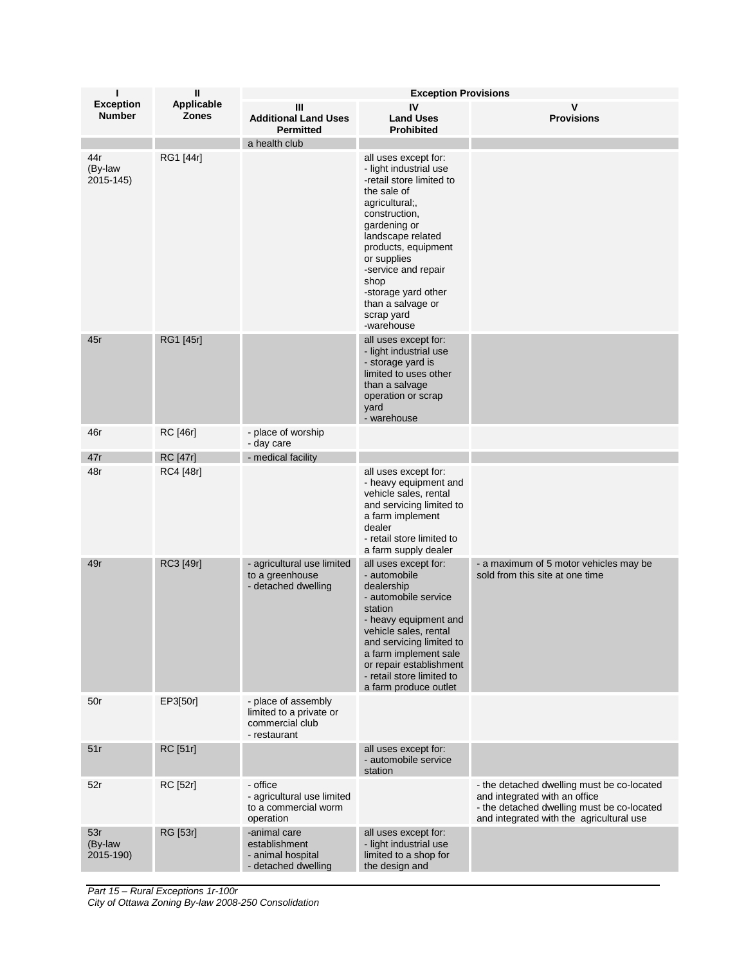| $\mathsf{II}$<br>ı<br><b>Exception Provisions</b> |                            |                                                                                   |                                                                                                                                                                                                                                                                                                                |                                                                                                                                                                       |
|---------------------------------------------------|----------------------------|-----------------------------------------------------------------------------------|----------------------------------------------------------------------------------------------------------------------------------------------------------------------------------------------------------------------------------------------------------------------------------------------------------------|-----------------------------------------------------------------------------------------------------------------------------------------------------------------------|
| <b>Exception</b><br><b>Number</b>                 | Applicable<br><b>Zones</b> | Ш<br><b>Additional Land Uses</b><br><b>Permitted</b>                              | IV<br><b>Land Uses</b><br><b>Prohibited</b>                                                                                                                                                                                                                                                                    | v<br><b>Provisions</b>                                                                                                                                                |
|                                                   |                            | a health club                                                                     |                                                                                                                                                                                                                                                                                                                |                                                                                                                                                                       |
| 44r<br>(By-law<br>2015-145)                       | RG1 [44r]                  |                                                                                   | all uses except for:<br>- light industrial use<br>-retail store limited to<br>the sale of<br>agricultural;,<br>construction,<br>gardening or<br>landscape related<br>products, equipment<br>or supplies<br>-service and repair<br>shop<br>-storage yard other<br>than a salvage or<br>scrap yard<br>-warehouse |                                                                                                                                                                       |
| 45r                                               | RG1 [45r]                  |                                                                                   | all uses except for:<br>- light industrial use<br>- storage yard is<br>limited to uses other<br>than a salvage<br>operation or scrap<br>yard<br>- warehouse                                                                                                                                                    |                                                                                                                                                                       |
| 46r                                               | RC [46r]                   | - place of worship<br>- day care                                                  |                                                                                                                                                                                                                                                                                                                |                                                                                                                                                                       |
| 47r                                               | <b>RC</b> [47r]            | - medical facility                                                                |                                                                                                                                                                                                                                                                                                                |                                                                                                                                                                       |
| 48r                                               | RC4 [48r]                  |                                                                                   | all uses except for:<br>- heavy equipment and<br>vehicle sales, rental<br>and servicing limited to<br>a farm implement<br>dealer<br>- retail store limited to<br>a farm supply dealer                                                                                                                          |                                                                                                                                                                       |
| 49r                                               | RC3 [49r]                  | - agricultural use limited<br>to a greenhouse<br>- detached dwelling              | all uses except for:<br>- automobile<br>dealership<br>- automobile service<br>station<br>- heavy equipment and<br>vehicle sales, rental<br>and servicing limited to<br>a farm implement sale<br>or repair establishment<br>- retail store limited to<br>a farm produce outlet                                  | - a maximum of 5 motor vehicles may be<br>sold from this site at one time                                                                                             |
| 50r                                               | EP3[50r]                   | - place of assembly<br>limited to a private or<br>commercial club<br>- restaurant |                                                                                                                                                                                                                                                                                                                |                                                                                                                                                                       |
| 51r                                               | RC [51r]                   |                                                                                   | all uses except for:<br>- automobile service<br>station                                                                                                                                                                                                                                                        |                                                                                                                                                                       |
| 52r                                               | RC [52r]                   | - office<br>- agricultural use limited<br>to a commercial worm<br>operation       |                                                                                                                                                                                                                                                                                                                | - the detached dwelling must be co-located<br>and integrated with an office<br>- the detached dwelling must be co-located<br>and integrated with the agricultural use |
| 53r<br>(By-law<br>2015-190)                       | RG [53r]                   | -animal care<br>establishment<br>- animal hospital<br>- detached dwelling         | all uses except for:<br>- light industrial use<br>limited to a shop for<br>the design and                                                                                                                                                                                                                      |                                                                                                                                                                       |

*Part 15 – Rural Exceptions 1r-100r City of Ottawa Zoning By-law 2008-250 Consolidation*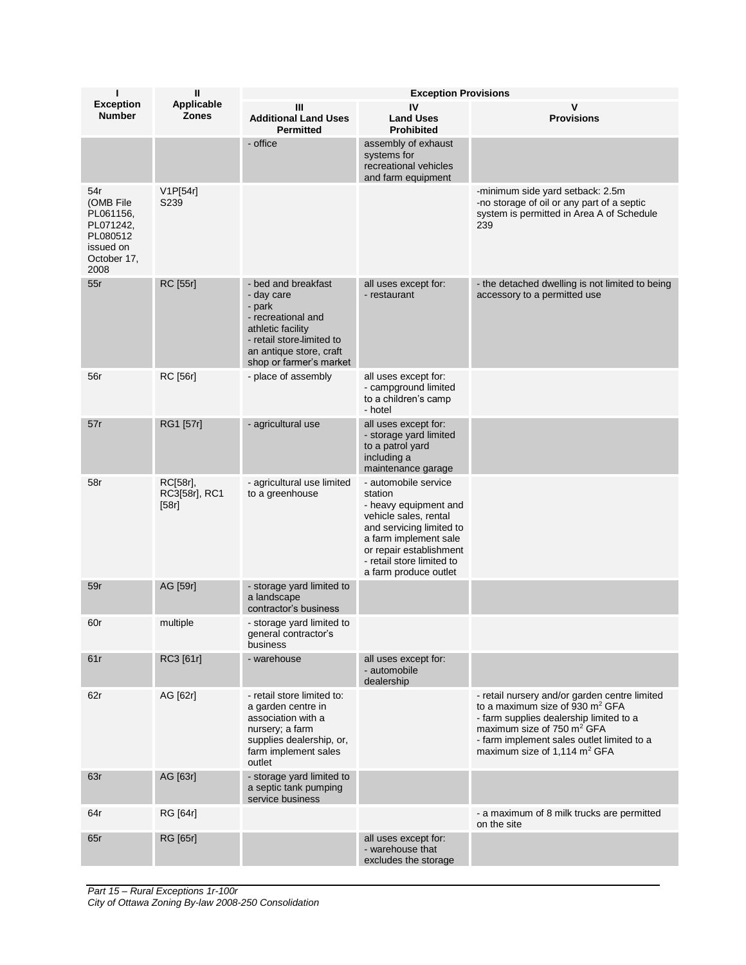| ī                                                                                          | Ш                                  | <b>Exception Provisions</b>                                                                                                                                               |                                                                                                                                                                                                                         |                                                                                                                                                                                                                                                                             |  |
|--------------------------------------------------------------------------------------------|------------------------------------|---------------------------------------------------------------------------------------------------------------------------------------------------------------------------|-------------------------------------------------------------------------------------------------------------------------------------------------------------------------------------------------------------------------|-----------------------------------------------------------------------------------------------------------------------------------------------------------------------------------------------------------------------------------------------------------------------------|--|
| <b>Exception</b><br><b>Number</b>                                                          | Applicable<br><b>Zones</b>         | Ш<br><b>Additional Land Uses</b><br><b>Permitted</b>                                                                                                                      | IV<br><b>Land Uses</b><br><b>Prohibited</b>                                                                                                                                                                             | <b>Provisions</b>                                                                                                                                                                                                                                                           |  |
|                                                                                            |                                    | - office                                                                                                                                                                  | assembly of exhaust<br>systems for<br>recreational vehicles<br>and farm equipment                                                                                                                                       |                                                                                                                                                                                                                                                                             |  |
| 54r<br>(OMB File<br>PL061156,<br>PL071242,<br>PL080512<br>issued on<br>October 17,<br>2008 | V1P[54r]<br>S <sub>2</sub> 39      |                                                                                                                                                                           |                                                                                                                                                                                                                         | -minimum side yard setback: 2.5m<br>-no storage of oil or any part of a septic<br>system is permitted in Area A of Schedule<br>239                                                                                                                                          |  |
| 55r                                                                                        | RC [55r]                           | - bed and breakfast<br>- day care<br>- park<br>- recreational and<br>athletic facility<br>- retail store-limited to<br>an antique store, craft<br>shop or farmer's market | all uses except for:<br>- restaurant                                                                                                                                                                                    | - the detached dwelling is not limited to being<br>accessory to a permitted use                                                                                                                                                                                             |  |
| 56r                                                                                        | RC [56r]                           | - place of assembly                                                                                                                                                       | all uses except for:<br>- campground limited<br>to a children's camp<br>- hotel                                                                                                                                         |                                                                                                                                                                                                                                                                             |  |
| 57r                                                                                        | RG1 [57r]                          | - agricultural use                                                                                                                                                        | all uses except for:<br>- storage yard limited<br>to a patrol yard<br>including a<br>maintenance garage                                                                                                                 |                                                                                                                                                                                                                                                                             |  |
| 58r                                                                                        | RC[58r],<br>RC3[58r], RC1<br>[58r] | - agricultural use limited<br>to a greenhouse                                                                                                                             | - automobile service<br>station<br>- heavy equipment and<br>vehicle sales, rental<br>and servicing limited to<br>a farm implement sale<br>or repair establishment<br>- retail store limited to<br>a farm produce outlet |                                                                                                                                                                                                                                                                             |  |
| 59r                                                                                        | AG [59r]                           | - storage yard limited to<br>a landscape<br>contractor's business                                                                                                         |                                                                                                                                                                                                                         |                                                                                                                                                                                                                                                                             |  |
| 60r                                                                                        | multiple                           | - storage yard limited to<br>general contractor s<br>business                                                                                                             |                                                                                                                                                                                                                         |                                                                                                                                                                                                                                                                             |  |
| 61r                                                                                        | RC3 [61r]                          | - warehouse                                                                                                                                                               | all uses except for:<br>- automobile<br>dealership                                                                                                                                                                      |                                                                                                                                                                                                                                                                             |  |
| 62r                                                                                        | AG [62r]                           | - retail store limited to:<br>a garden centre in<br>association with a<br>nursery; a farm<br>supplies dealership, or,<br>farm implement sales<br>outlet                   |                                                                                                                                                                                                                         | - retail nursery and/or garden centre limited<br>to a maximum size of 930 m <sup>2</sup> GFA<br>- farm supplies dealership limited to a<br>maximum size of 750 m <sup>2</sup> GFA<br>- farm implement sales outlet limited to a<br>maximum size of 1,114 m <sup>2</sup> GFA |  |
| 63r                                                                                        | AG [63r]                           | - storage yard limited to<br>a septic tank pumping<br>service business                                                                                                    |                                                                                                                                                                                                                         |                                                                                                                                                                                                                                                                             |  |
| 64r                                                                                        | RG [64r]                           |                                                                                                                                                                           |                                                                                                                                                                                                                         | - a maximum of 8 milk trucks are permitted<br>on the site                                                                                                                                                                                                                   |  |
| 65r                                                                                        | RG [65r]                           |                                                                                                                                                                           | all uses except for:<br>- warehouse that<br>excludes the storage                                                                                                                                                        |                                                                                                                                                                                                                                                                             |  |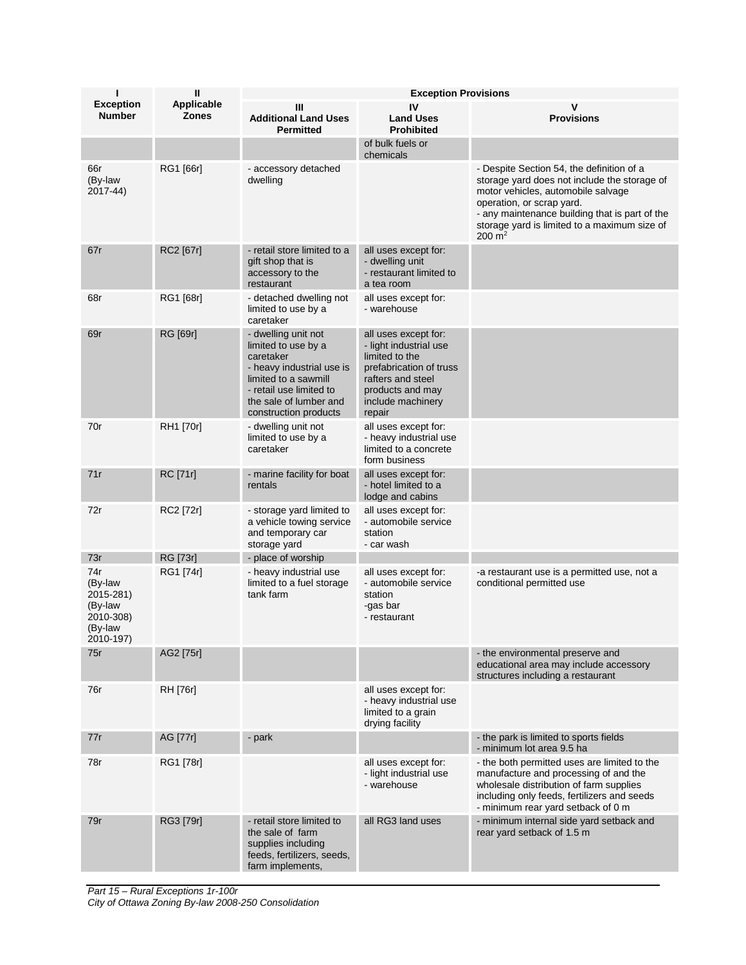| п                                                                           | <b>Exception Provisions</b> |                                                                                                                                                                                            |                                                                                                                                                                     |                                                                                                                                                                                                                                                                                     |
|-----------------------------------------------------------------------------|-----------------------------|--------------------------------------------------------------------------------------------------------------------------------------------------------------------------------------------|---------------------------------------------------------------------------------------------------------------------------------------------------------------------|-------------------------------------------------------------------------------------------------------------------------------------------------------------------------------------------------------------------------------------------------------------------------------------|
| <b>Exception</b><br><b>Number</b>                                           | Applicable<br><b>Zones</b>  | Ш<br><b>Additional Land Uses</b><br><b>Permitted</b>                                                                                                                                       | IV<br><b>Land Uses</b><br><b>Prohibited</b>                                                                                                                         | v<br><b>Provisions</b>                                                                                                                                                                                                                                                              |
|                                                                             |                             |                                                                                                                                                                                            | of bulk fuels or<br>chemicals                                                                                                                                       |                                                                                                                                                                                                                                                                                     |
| 66r<br>(By-law<br>2017-44)                                                  | RG1 [66r]                   | - accessory detached<br>dwelling                                                                                                                                                           |                                                                                                                                                                     | - Despite Section 54, the definition of a<br>storage yard does not include the storage of<br>motor vehicles, automobile salvage<br>operation, or scrap yard.<br>- any maintenance building that is part of the<br>storage yard is limited to a maximum size of<br>$200 \text{ m}^2$ |
| 67r                                                                         | RC2 [67r]                   | - retail store limited to a<br>gift shop that is<br>accessory to the<br>restaurant                                                                                                         | all uses except for:<br>- dwelling unit<br>- restaurant limited to<br>a tea room                                                                                    |                                                                                                                                                                                                                                                                                     |
| 68r                                                                         | RG1 [68r]                   | - detached dwelling not<br>limited to use by a<br>caretaker                                                                                                                                | all uses except for:<br>- warehouse                                                                                                                                 |                                                                                                                                                                                                                                                                                     |
| 69r                                                                         | RG [69r]                    | - dwelling unit not<br>limited to use by a<br>caretaker<br>- heavy industrial use is<br>limited to a sawmill<br>- retail use limited to<br>the sale of lumber and<br>construction products | all uses except for:<br>- light industrial use<br>limited to the<br>prefabrication of truss<br>rafters and steel<br>products and may<br>include machinery<br>repair |                                                                                                                                                                                                                                                                                     |
| 70r                                                                         | RH1 [70r]                   | - dwelling unit not<br>limited to use by a<br>caretaker                                                                                                                                    | all uses except for:<br>- heavy industrial use<br>limited to a concrete<br>form business                                                                            |                                                                                                                                                                                                                                                                                     |
| 71r                                                                         | <b>RC</b> [71r]             | - marine facility for boat<br>rentals                                                                                                                                                      | all uses except for:<br>- hotel limited to a<br>lodge and cabins                                                                                                    |                                                                                                                                                                                                                                                                                     |
| 72r                                                                         | RC2 [72r]                   | - storage yard limited to<br>a vehicle towing service<br>and temporary car<br>storage yard                                                                                                 | all uses except for:<br>- automobile service<br>station<br>- car wash                                                                                               |                                                                                                                                                                                                                                                                                     |
| 73r                                                                         | RG [73r]                    | - place of worship                                                                                                                                                                         |                                                                                                                                                                     |                                                                                                                                                                                                                                                                                     |
| 74r<br>(By-law<br>2015-281)<br>(By-law<br>2010-308)<br>(By-law<br>2010-197) | RG1 [74r]                   | - heavy industrial use<br>limited to a fuel storage<br>tank farm                                                                                                                           | all uses except for:<br>- automobile service<br>station<br>-gas bar<br>- restaurant                                                                                 | -a restaurant use is a permitted use, not a<br>conditional permitted use                                                                                                                                                                                                            |
| 75r                                                                         | AG2 [75r]                   |                                                                                                                                                                                            |                                                                                                                                                                     | - the environmental preserve and<br>educational area may include accessory<br>structures including a restaurant                                                                                                                                                                     |
| 76r                                                                         | RH [76r]                    |                                                                                                                                                                                            | all uses except for:<br>- heavy industrial use<br>limited to a grain<br>drying facility                                                                             |                                                                                                                                                                                                                                                                                     |
| 77r                                                                         | AG [77r]                    | - park                                                                                                                                                                                     |                                                                                                                                                                     | - the park is limited to sports fields<br>- minimum lot area 9.5 ha                                                                                                                                                                                                                 |
| 78r                                                                         | RG1 [78r]                   |                                                                                                                                                                                            | all uses except for:<br>- light industrial use<br>- warehouse                                                                                                       | - the both permitted uses are limited to the<br>manufacture and processing of and the<br>wholesale distribution of farm supplies<br>including only feeds, fertilizers and seeds<br>- minimum rear yard setback of 0 m                                                               |
| 79r                                                                         | RG3 [79r]                   | - retail store limited to<br>the sale of farm<br>supplies including<br>feeds, fertilizers, seeds,<br>farm implements,                                                                      | all RG3 land uses                                                                                                                                                   | - minimum internal side yard setback and<br>rear yard setback of 1.5 m                                                                                                                                                                                                              |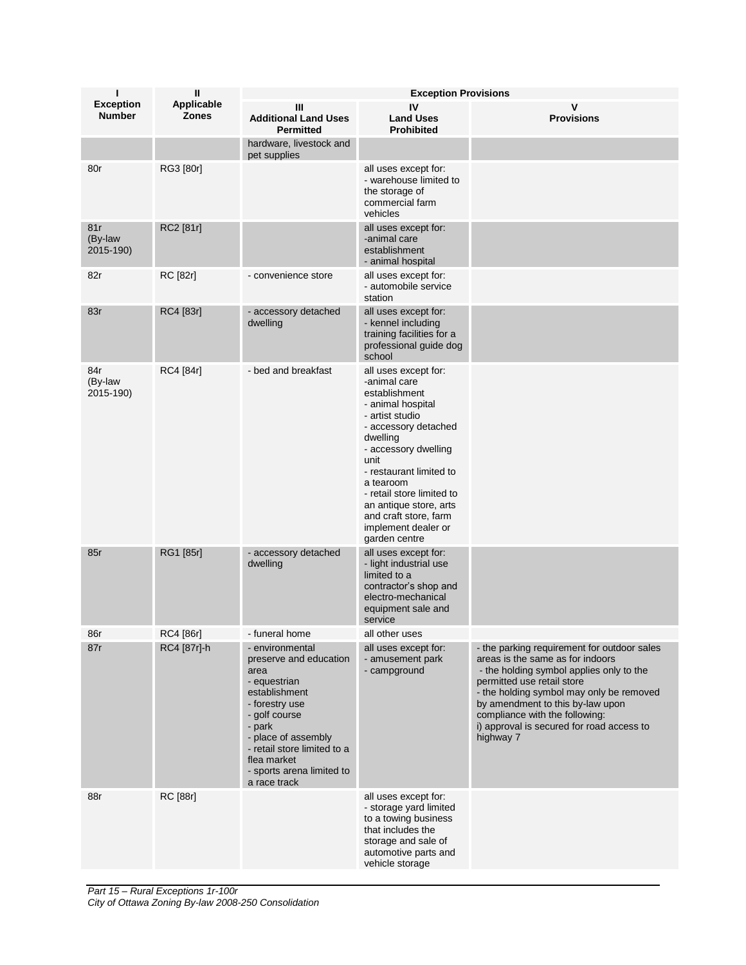| ı                                 | Ш                          | <b>Exception Provisions</b>                                                                                                                                                                                                                       |                                                                                                                                                                                                                                                                                                                                   |                                                                                                                                                                                                                                                                                                                                       |  |
|-----------------------------------|----------------------------|---------------------------------------------------------------------------------------------------------------------------------------------------------------------------------------------------------------------------------------------------|-----------------------------------------------------------------------------------------------------------------------------------------------------------------------------------------------------------------------------------------------------------------------------------------------------------------------------------|---------------------------------------------------------------------------------------------------------------------------------------------------------------------------------------------------------------------------------------------------------------------------------------------------------------------------------------|--|
| <b>Exception</b><br><b>Number</b> | Applicable<br><b>Zones</b> | Ш<br><b>Additional Land Uses</b><br><b>Permitted</b>                                                                                                                                                                                              | IV<br><b>Land Uses</b><br><b>Prohibited</b>                                                                                                                                                                                                                                                                                       | v<br><b>Provisions</b>                                                                                                                                                                                                                                                                                                                |  |
|                                   |                            | hardware, livestock and<br>pet supplies                                                                                                                                                                                                           |                                                                                                                                                                                                                                                                                                                                   |                                                                                                                                                                                                                                                                                                                                       |  |
| 80r                               | RG3 [80r]                  |                                                                                                                                                                                                                                                   | all uses except for:<br>- warehouse limited to<br>the storage of<br>commercial farm<br>vehicles                                                                                                                                                                                                                                   |                                                                                                                                                                                                                                                                                                                                       |  |
| 81r<br>(By-law<br>2015-190)       | RC2 [81r]                  |                                                                                                                                                                                                                                                   | all uses except for:<br>-animal care<br>establishment<br>- animal hospital                                                                                                                                                                                                                                                        |                                                                                                                                                                                                                                                                                                                                       |  |
| 82r                               | RC [82r]                   | - convenience store                                                                                                                                                                                                                               | all uses except for:<br>- automobile service<br>station                                                                                                                                                                                                                                                                           |                                                                                                                                                                                                                                                                                                                                       |  |
| 83r                               | RC4 [83r]                  | - accessory detached<br>dwelling                                                                                                                                                                                                                  | all uses except for:<br>- kennel including<br>training facilities for a<br>professional guide dog<br>school                                                                                                                                                                                                                       |                                                                                                                                                                                                                                                                                                                                       |  |
| 84r<br>(By-law<br>2015-190)       | RC4 [84r]                  | - bed and breakfast                                                                                                                                                                                                                               | all uses except for:<br>-animal care<br>establishment<br>- animal hospital<br>- artist studio<br>- accessory detached<br>dwelling<br>- accessory dwelling<br>unit<br>- restaurant limited to<br>a tearoom<br>- retail store limited to<br>an antique store, arts<br>and craft store, farm<br>implement dealer or<br>garden centre |                                                                                                                                                                                                                                                                                                                                       |  |
| 85r                               | RG1 [85r]                  | - accessory detached<br>dwelling                                                                                                                                                                                                                  | all uses except for:<br>- light industrial use<br>limited to a<br>contractor's shop and<br>electro-mechanical<br>equipment sale and<br>service                                                                                                                                                                                    |                                                                                                                                                                                                                                                                                                                                       |  |
| 86r                               | RC4 [86r]                  | - funeral home                                                                                                                                                                                                                                    | all other uses                                                                                                                                                                                                                                                                                                                    |                                                                                                                                                                                                                                                                                                                                       |  |
| 87r                               | RC4 [87r]-h                | - environmental<br>preserve and education<br>area<br>- equestrian<br>establishment<br>- forestry use<br>- golf course<br>- park<br>- place of assembly<br>- retail store limited to a<br>flea market<br>- sports arena limited to<br>a race track | all uses except for:<br>- amusement park<br>- campground                                                                                                                                                                                                                                                                          | - the parking requirement for outdoor sales<br>areas is the same as for indoors<br>- the holding symbol applies only to the<br>permitted use retail store<br>- the holding symbol may only be removed<br>by amendment to this by-law upon<br>compliance with the following:<br>i) approval is secured for road access to<br>highway 7 |  |
| 88r                               | RC [88r]                   |                                                                                                                                                                                                                                                   | all uses except for:<br>- storage yard limited<br>to a towing business<br>that includes the<br>storage and sale of<br>automotive parts and<br>vehicle storage                                                                                                                                                                     |                                                                                                                                                                                                                                                                                                                                       |  |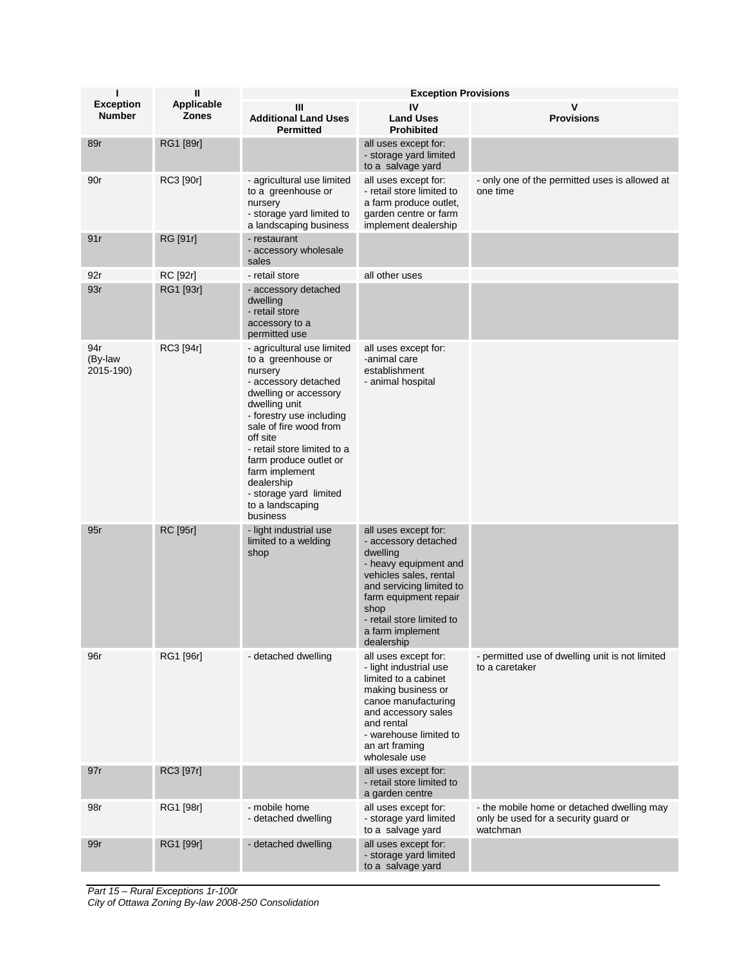| п                                 | $\mathbf{I}$                      | <b>Exception Provisions</b>                                                                                                                                                                                                                                                                                                                        |                                                                                                                                                                                                                                         |                                                                                                |  |
|-----------------------------------|-----------------------------------|----------------------------------------------------------------------------------------------------------------------------------------------------------------------------------------------------------------------------------------------------------------------------------------------------------------------------------------------------|-----------------------------------------------------------------------------------------------------------------------------------------------------------------------------------------------------------------------------------------|------------------------------------------------------------------------------------------------|--|
| <b>Exception</b><br><b>Number</b> | <b>Applicable</b><br><b>Zones</b> | Ш<br><b>Additional Land Uses</b><br><b>Permitted</b>                                                                                                                                                                                                                                                                                               | IV<br><b>Land Uses</b><br><b>Prohibited</b>                                                                                                                                                                                             | <b>Provisions</b>                                                                              |  |
| 89r                               | RG1 [89r]                         |                                                                                                                                                                                                                                                                                                                                                    | all uses except for:<br>- storage yard limited<br>to a salvage yard                                                                                                                                                                     |                                                                                                |  |
| 90r                               | RC3 [90r]                         | - agricultural use limited<br>to a greenhouse or<br>nursery<br>- storage yard limited to<br>a landscaping business                                                                                                                                                                                                                                 | all uses except for:<br>- retail store limited to<br>a farm produce outlet,<br>garden centre or farm<br>implement dealership                                                                                                            | - only one of the permitted uses is allowed at<br>one time                                     |  |
| 91r                               | RG [91r]                          | - restaurant<br>- accessory wholesale<br>sales                                                                                                                                                                                                                                                                                                     |                                                                                                                                                                                                                                         |                                                                                                |  |
| 92r                               | RC [92r]                          | - retail store                                                                                                                                                                                                                                                                                                                                     | all other uses                                                                                                                                                                                                                          |                                                                                                |  |
| 93r                               | RG1 [93r]                         | - accessory detached<br>dwelling<br>- retail store<br>accessory to a<br>permitted use                                                                                                                                                                                                                                                              |                                                                                                                                                                                                                                         |                                                                                                |  |
| 94r<br>(By-law<br>2015-190)       | RC3 [94r]                         | - agricultural use limited<br>to a greenhouse or<br>nursery<br>- accessory detached<br>dwelling or accessory<br>dwelling unit<br>- forestry use including<br>sale of fire wood from<br>off site<br>- retail store limited to a<br>farm produce outlet or<br>farm implement<br>dealership<br>- storage yard limited<br>to a landscaping<br>business | all uses except for:<br>-animal care<br>establishment<br>- animal hospital                                                                                                                                                              |                                                                                                |  |
| 95r                               | RC [95r]                          | - light industrial use<br>limited to a welding<br>shop                                                                                                                                                                                                                                                                                             | all uses except for:<br>- accessory detached<br>dwelling<br>- heavy equipment and<br>vehicles sales, rental<br>and servicing limited to<br>farm equipment repair<br>shop<br>- retail store limited to<br>a farm implement<br>dealership |                                                                                                |  |
| 96r                               | RG1 [96r]                         | - detached dwelling                                                                                                                                                                                                                                                                                                                                | all uses except for:<br>- light industrial use<br>limited to a cabinet<br>making business or<br>canoe manufacturing<br>and accessory sales<br>and rental<br>- warehouse limited to<br>an art framing<br>wholesale use                   | - permitted use of dwelling unit is not limited<br>to a caretaker                              |  |
| 97r                               | RC3 [97r]                         |                                                                                                                                                                                                                                                                                                                                                    | all uses except for:<br>- retail store limited to<br>a garden centre                                                                                                                                                                    |                                                                                                |  |
| 98r                               | RG1 [98r]                         | - mobile home<br>- detached dwelling                                                                                                                                                                                                                                                                                                               | all uses except for:<br>- storage yard limited<br>to a salvage yard                                                                                                                                                                     | - the mobile home or detached dwelling may<br>only be used for a security guard or<br>watchman |  |
| 99r                               | RG1 [99r]                         | - detached dwelling                                                                                                                                                                                                                                                                                                                                | all uses except for:<br>- storage yard limited<br>to a salvage yard                                                                                                                                                                     |                                                                                                |  |